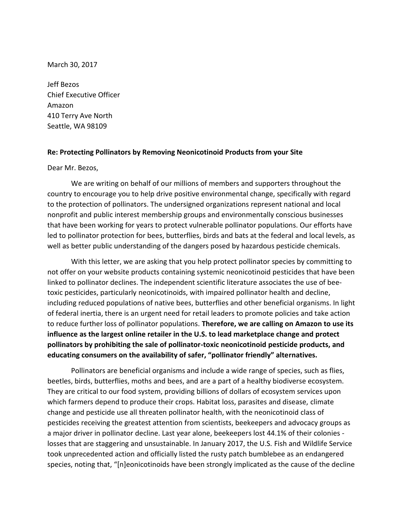March 30, 2017

Jeff Bezos Chief Executive Officer Amazon 410 Terry Ave North Seattle, WA 98109

## **Re: Protecting Pollinators by Removing Neonicotinoid Products from your Site**

Dear Mr. Bezos,

We are writing on behalf of our millions of members and supporters throughout the country to encourage you to help drive positive environmental change, specifically with regard to the protection of pollinators. The undersigned organizations represent national and local nonprofit and public interest membership groups and environmentally conscious businesses that have been working for years to protect vulnerable pollinator populations. Our efforts have led to pollinator protection for bees, butterflies, birds and bats at the federal and local levels, as well as better public understanding of the dangers posed by hazardous pesticide chemicals.

With this letter, we are asking that you help protect pollinator species by committing to not offer on your website products containing systemic neonicotinoid pesticides that have been linked to pollinator declines. The independent scientific literature associates the use of beetoxic pesticides, particularly neonicotinoids, with impaired pollinator health and decline, including reduced populations of native bees, butterflies and other beneficial organisms. In light of federal inertia, there is an urgent need for retail leaders to promote policies and take action to reduce further loss of pollinator populations. **Therefore, we are calling on Amazon to use its influence as the largest online retailer in the U.S. to lead marketplace change and protect pollinators by prohibiting the sale of pollinator-toxic neonicotinoid pesticide products, and educating consumers on the availability of safer, "pollinator friendly" alternatives.**

Pollinators are beneficial organisms and include a wide range of species, such as flies, beetles, birds, butterflies, moths and bees, and are a part of a healthy biodiverse ecosystem. They are critical to our food system, providing billions of dollars of ecosystem services upon which farmers depend to produce their crops. Habitat loss, parasites and disease, climate change and pesticide use all threaten pollinator health, with the neonicotinoid class of pesticides receiving the greatest attention from scientists, beekeepers and advocacy groups as a major driver in pollinator decline. Last year alone, beekeepers lost 44.1% of their colonies losses that are staggering and unsustainable. In January 2017, the U.S. Fish and Wildlife Service took unprecedented action and officially listed the rusty patch bumblebee as an endangered species, noting that, "[n]eonicotinoids have been strongly implicated as the cause of the decline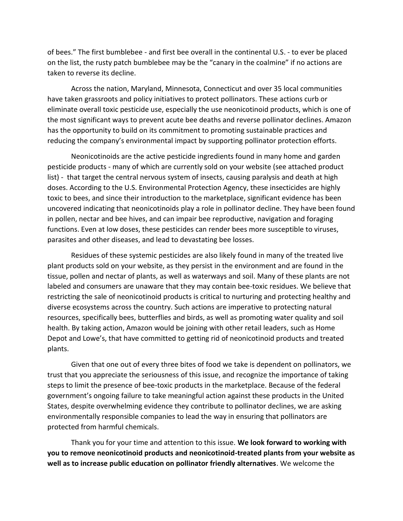of bees." The first bumblebee - and first bee overall in the continental U.S. - to ever be placed on the list, the rusty patch bumblebee may be the "canary in the coalmine" if no actions are taken to reverse its decline.

Across the nation, Maryland, Minnesota, Connecticut and over 35 local communities have taken grassroots and policy initiatives to protect pollinators. These actions curb or eliminate overall toxic pesticide use, especially the use neonicotinoid products, which is one of the most significant ways to prevent acute bee deaths and reverse pollinator declines. Amazon has the opportunity to build on its commitment to promoting sustainable practices and reducing the company's environmental impact by supporting pollinator protection efforts.

Neonicotinoids are the active pesticide ingredients found in many home and garden pesticide products - many of which are currently sold on your website (see attached product list) - that target the central nervous system of insects, causing paralysis and death at high doses. According to the U.S. Environmental Protection Agency, these insecticides are highly toxic to bees, and since their introduction to the marketplace, significant evidence has been uncovered indicating that neonicotinoids play a role in pollinator decline. They have been found in pollen, nectar and bee hives, and can impair bee reproductive, navigation and foraging functions. Even at low doses, these pesticides can render bees more susceptible to viruses, parasites and other diseases, and lead to devastating bee losses.

Residues of these systemic pesticides are also likely found in many of the treated live plant products sold on your website, as they persist in the environment and are found in the tissue, pollen and nectar of plants, as well as waterways and soil. Many of these plants are not labeled and consumers are unaware that they may contain bee-toxic residues. We believe that restricting the sale of neonicotinoid products is critical to nurturing and protecting healthy and diverse ecosystems across the country. Such actions are imperative to protecting natural resources, specifically bees, butterflies and birds, as well as promoting water quality and soil health. By taking action, Amazon would be joining with other retail leaders, such as Home Depot and Lowe's, that have committed to getting rid of neonicotinoid products and treated plants.

Given that one out of every three bites of food we take is dependent on pollinators, we trust that you appreciate the seriousness of this issue, and recognize the importance of taking steps to limit the presence of bee-toxic products in the marketplace. Because of the federal government's ongoing failure to take meaningful action against these products in the United States, despite overwhelming evidence they contribute to pollinator declines, we are asking environmentally responsible companies to lead the way in ensuring that pollinators are protected from harmful chemicals.

Thank you for your time and attention to this issue. **We look forward to working with you to remove neonicotinoid products and neonicotinoid-treated plants from your website as well as to increase public education on pollinator friendly alternatives**. We welcome the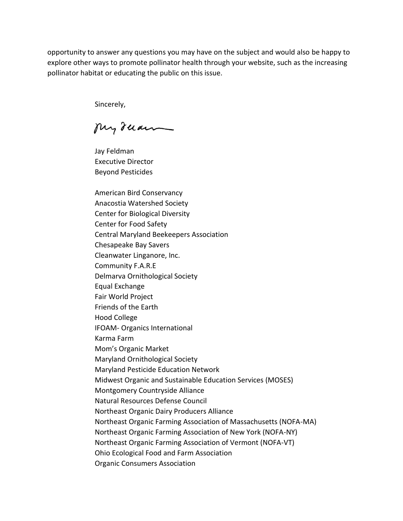opportunity to answer any questions you may have on the subject and would also be happy to explore other ways to promote pollinator health through your website, such as the increasing pollinator habitat or educating the public on this issue.

Sincerely,

My ruan

Jay Feldman Executive Director Beyond Pesticides

American Bird Conservancy Anacostia Watershed Society Center for Biological Diversity Center for Food Safety Central Maryland Beekeepers Association Chesapeake Bay Savers Cleanwater Linganore, Inc. Community F.A.R.E Delmarva Ornithological Society Equal Exchange Fair World Project Friends of the Earth Hood College IFOAM- Organics International Karma Farm Mom's Organic Market Maryland Ornithological Society Maryland Pesticide Education Network Midwest Organic and Sustainable Education Services (MOSES) Montgomery Countryside Alliance Natural Resources Defense Council Northeast Organic Dairy Producers Alliance Northeast Organic Farming Association of Massachusetts (NOFA-MA) Northeast Organic Farming Association of New York (NOFA-NY) Northeast Organic Farming Association of Vermont (NOFA-VT) Ohio Ecological Food and Farm Association Organic Consumers Association